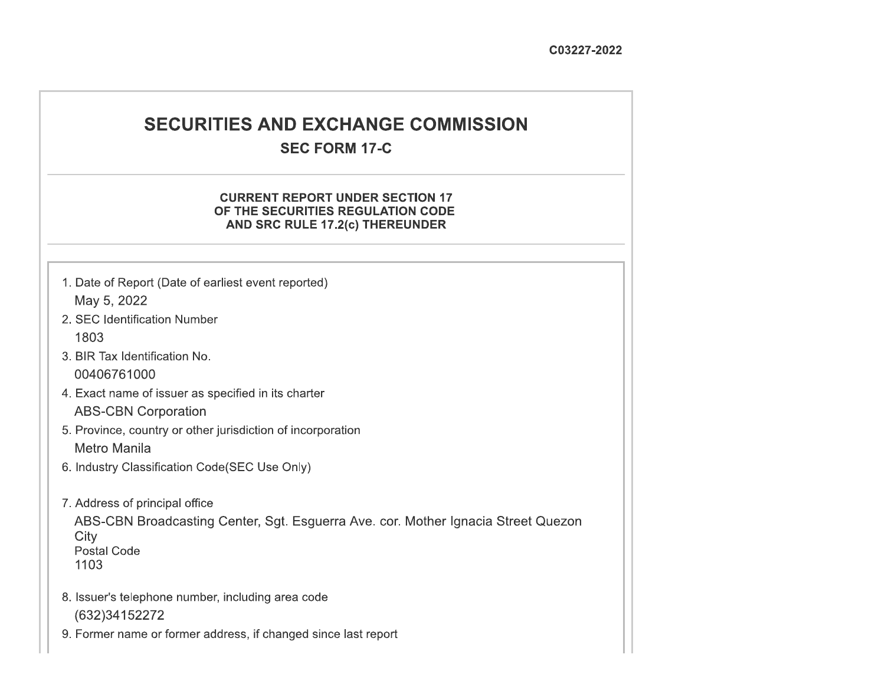# **SECURITIES AND EXCHANGE COMMISSION**

# **SEC FORM 17-C**

# **CURRENT REPORT UNDER SECTION 17** OF THE SECURITIES REGULATION CODE AND SRC RULE 17.2(c) THEREUNDER

- 1. Date of Report (Date of earliest event reported) May 5, 2022
- 2. SEC Identification Number 1803
- 3. BIR Tax Identification No. 00406761000
- 4. Exact name of issuer as specified in its charter **ABS-CBN Corporation**
- 5. Province, country or other jurisdiction of incorporation Metro Manila
- 6. Industry Classification Code(SEC Use Only)
- 7. Address of principal office

ABS-CBN Broadcasting Center, Sgt. Esguerra Ave. cor. Mother Ignacia Street Quezon City **Postal Code** 1103

- 8. Issuer's telephone number, including area code (632)34152272
- 9. Former name or former address, if changed since last report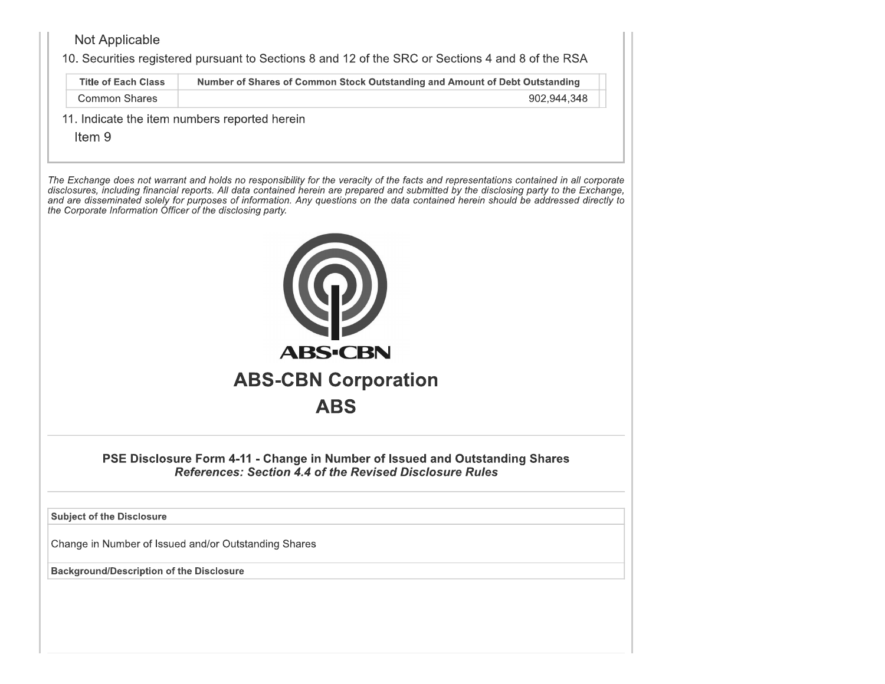# Not Applicable

10. Securities registered pursuant to Sections 8 and 12 of the SRC or Sections 4 and 8 of the RSA

| <b>Title of Each Class</b> | Number of Shares of Common Stock Outstanding and Amount of Debt Outstanding |
|----------------------------|-----------------------------------------------------------------------------|
| Common Shares              | 902,944,348                                                                 |

11. Indicate the item numbers reported herein

Item 9

The Exchange does not warrant and holds no responsibility for the veracity of the facts and representations contained in all corporate disclosures, including financial reports. All data contained herein are prepared and submitted by the disclosing party to the Exchange, and are disseminated solely for purposes of information. Any questions on the data contained herein should be addressed directly to the Corporate Information Officer of the disclosing party.



PSE Disclosure Form 4-11 - Change in Number of Issued and Outstanding Shares **References: Section 4.4 of the Revised Disclosure Rules** 

**Subject of the Disclosure** 

Change in Number of Issued and/or Outstanding Shares

**Background/Description of the Disclosure**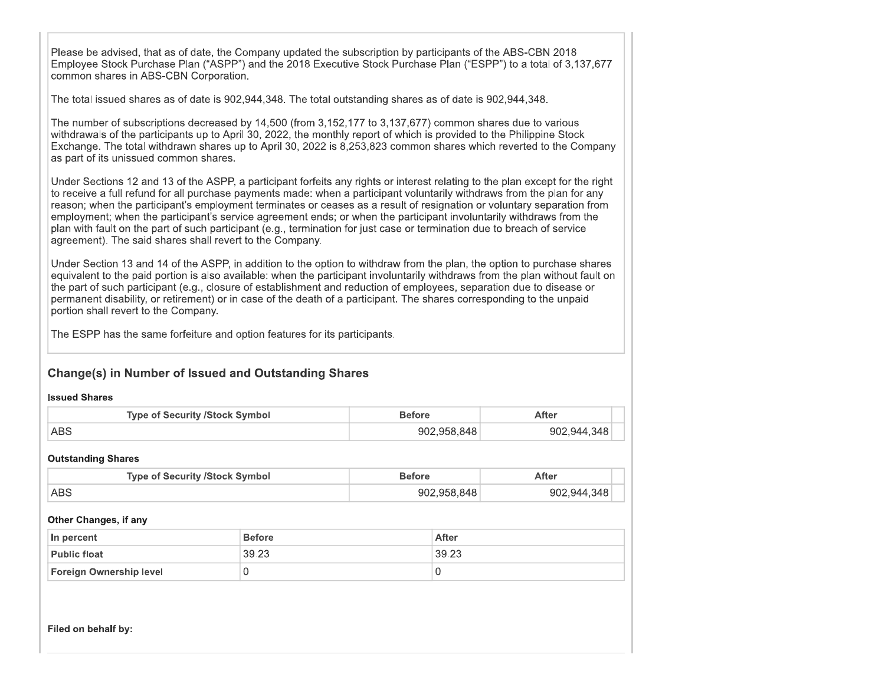Please be advised, that as of date, the Company updated the subscription by participants of the ABS-CBN 2018 Employee Stock Purchase Plan ("ASPP") and the 2018 Executive Stock Purchase Plan ("ESPP") to a total of 3,137,677 common shares in ABS-CBN Corporation.

The total issued shares as of date is 902,944,348. The total outstanding shares as of date is 902,944,348.

The number of subscriptions decreased by 14,500 (from 3,152,177 to 3,137,677) common shares due to various withdrawals of the participants up to April 30, 2022, the monthly report of which is provided to the Philippine Stock Exchange. The total withdrawn shares up to April 30, 2022 is 8,253,823 common shares which reverted to the Company as part of its unissued common shares.

Under Sections 12 and 13 of the ASPP, a participant forfeits any rights or interest relating to the plan except for the right to receive a full refund for all purchase payments made; when a participant voluntarily withdraws from the plan for any reason; when the participant's employment terminates or ceases as a result of resignation or voluntary separation from employment: when the participant's service agreement ends: or when the participant involuntarily withdraws from the plan with fault on the part of such participant (e.g., termination for just case or termination due to breach of service agreement). The said shares shall revert to the Company

Under Section 13 and 14 of the ASPP, in addition to the option to withdraw from the plan, the option to purchase shares equivalent to the paid portion is also available; when the participant involuntarily withdraws from the plan without fault on the part of such participant (e.g., closure of establishment and reduction of employees, separation due to disease or permanent disability, or retirement) or in case of the death of a participant. The shares corresponding to the unpaid portion shall revert to the Company.

The ESPP has the same forfeiture and option features for its participants.

# **Change(s) in Number of Issued and Outstanding Shares**

### **Issued Shares**

| <b>Type of Security /Stock Symbol</b> | Before      | After       |  |  |  |  |
|---------------------------------------|-------------|-------------|--|--|--|--|
| ABS                                   | 902.958.848 | 902.944.348 |  |  |  |  |

### **Outstanding Shares**

| <b>Type of Security /Stock Symbol</b> | Before      | After       |  |  |  |
|---------------------------------------|-------------|-------------|--|--|--|
| ⊺ABS                                  | 902.958.848 | 902.944.348 |  |  |  |

#### Other Changes, if any

| In percent                     | <b>Before</b> | After |  |  |  |  |  |  |
|--------------------------------|---------------|-------|--|--|--|--|--|--|
| <b>Public float</b>            | 39.23         | 39.23 |  |  |  |  |  |  |
| <b>Foreign Ownership level</b> |               |       |  |  |  |  |  |  |

Filed on behalf by: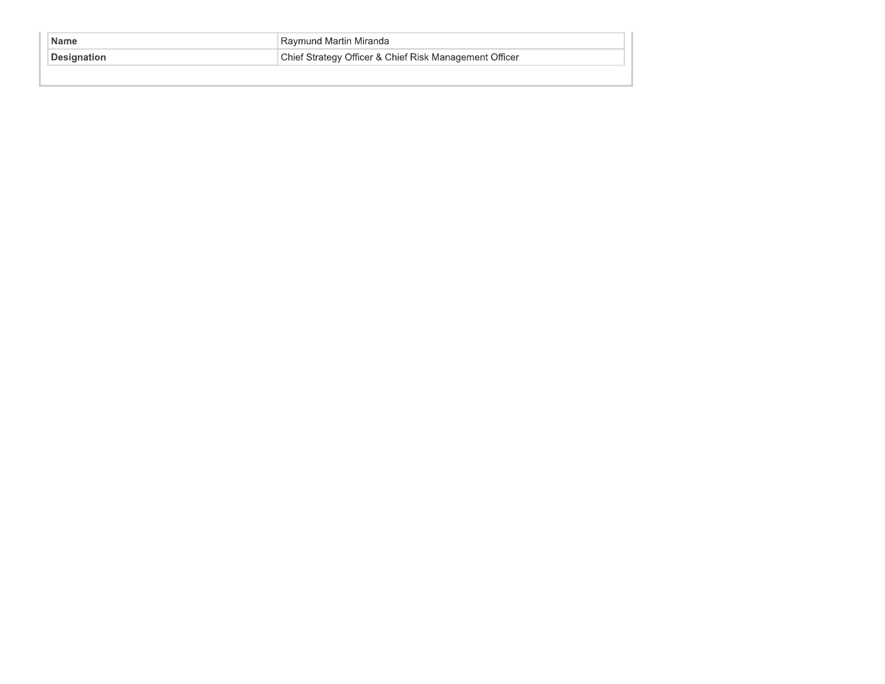| <b>Name</b>         | Raymund Martin Miranda                                 |  |  |  |  |  |  |
|---------------------|--------------------------------------------------------|--|--|--|--|--|--|
| <b>∣Designation</b> | Chief Strategy Officer & Chief Risk Management Officer |  |  |  |  |  |  |
|                     |                                                        |  |  |  |  |  |  |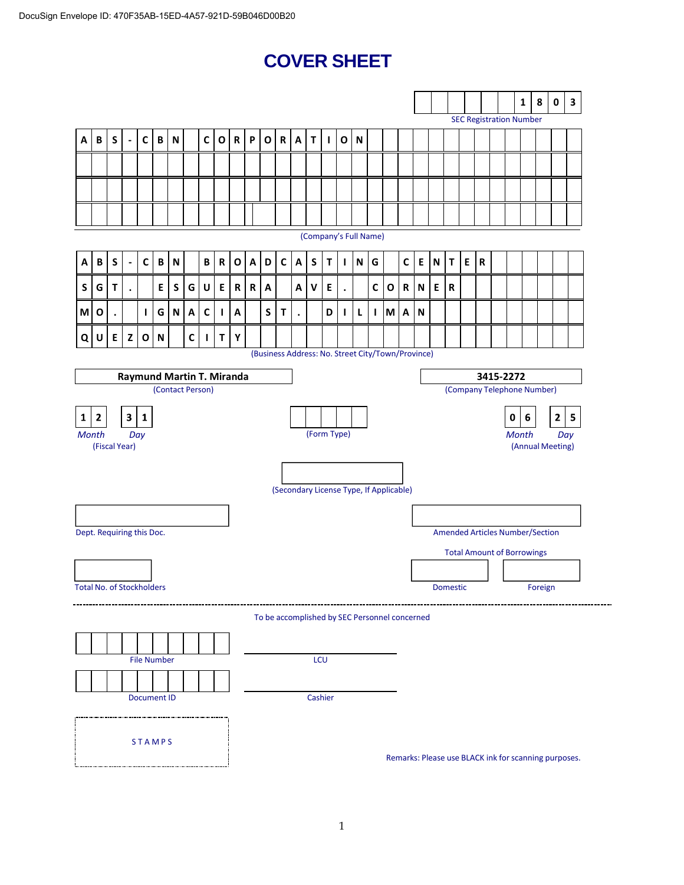# **COVER SHEET**

|                                  |                         |   |                          |                    |              |                                  |              |              |              |             |             |             |             |   |             |                                                   |              |   |   |          |              |                           |   |                                        |   |             |                                |   | $\mathbf{1}$ | 8                | $\pmb{0}$    | 3                                                    |
|----------------------------------|-------------------------|---|--------------------------|--------------------|--------------|----------------------------------|--------------|--------------|--------------|-------------|-------------|-------------|-------------|---|-------------|---------------------------------------------------|--------------|---|---|----------|--------------|---------------------------|---|----------------------------------------|---|-------------|--------------------------------|---|--------------|------------------|--------------|------------------------------------------------------|
|                                  |                         |   |                          |                    |              |                                  |              |              |              |             |             |             |             |   |             |                                                   |              |   |   |          |              |                           |   |                                        |   |             | <b>SEC Registration Number</b> |   |              |                  |              |                                                      |
| A                                | B                       | S | $\overline{\phantom{a}}$ | $\mathsf{C}$       | B            | N                                |              | $\mathbf c$  | O            | $\mathbf R$ | P           | $\mathbf O$ | $\mathbf R$ | A | $\mathbf T$ | $\mathbf{I}$                                      | $\mathbf{o}$ | N |   |          |              |                           |   |                                        |   |             |                                |   |              |                  |              |                                                      |
|                                  |                         |   |                          |                    |              |                                  |              |              |              |             |             |             |             |   |             |                                                   |              |   |   |          |              |                           |   |                                        |   |             |                                |   |              |                  |              |                                                      |
|                                  |                         |   |                          |                    |              |                                  |              |              |              |             |             |             |             |   |             |                                                   |              |   |   |          |              |                           |   |                                        |   |             |                                |   |              |                  |              |                                                      |
|                                  |                         |   |                          |                    |              |                                  |              |              |              |             |             |             |             |   |             |                                                   |              |   |   |          |              |                           |   |                                        |   |             |                                |   |              |                  |              |                                                      |
|                                  |                         |   |                          |                    |              |                                  |              |              |              |             |             |             |             |   |             |                                                   |              |   |   |          |              |                           |   |                                        |   |             |                                |   |              |                  |              |                                                      |
| (Company's Full Name)            |                         |   |                          |                    |              |                                  |              |              |              |             |             |             |             |   |             |                                                   |              |   |   |          |              |                           |   |                                        |   |             |                                |   |              |                  |              |                                                      |
| Α                                | B                       | S | $\overline{\phantom{a}}$ | $\mathsf{C}$       | $\, {\bf B}$ | $\boldsymbol{\mathsf{N}}$        |              | В            | $\mathsf{R}$ | $\mathbf O$ | Α           | D           | $\mathbf C$ | A | S           | T                                                 | L            | N | G |          | $\mathsf{C}$ | $\mathsf E$               | N | Τ                                      | E | $\mathbf R$ |                                |   |              |                  |              |                                                      |
| S                                | G                       | Τ | $\bullet$                |                    | E            | S                                | G            | U            | E            | $\mathbf R$ | $\mathbf R$ | Α           |             | Α | V           | E                                                 | $\bullet$    |   | C | O        | $\mathbf R$  | $\boldsymbol{\mathsf{N}}$ | E | R                                      |   |             |                                |   |              |                  |              |                                                      |
| M                                | O                       |   |                          | L                  | G            | ${\sf N}$                        | A            | C            | L            | A           |             | S           | T           |   |             | D                                                 | $\mathbf{I}$ | L | L | <b>M</b> | A            | N                         |   |                                        |   |             |                                |   |              |                  |              |                                                      |
| Q                                | U                       | E | z                        | $\mathbf O$        | ${\bf N}$    |                                  | $\mathsf{C}$ | $\mathbf{I}$ | T.           | Υ           |             |             |             |   |             |                                                   |              |   |   |          |              |                           |   |                                        |   |             |                                |   |              |                  |              |                                                      |
|                                  |                         |   |                          |                    |              |                                  |              |              |              |             |             |             |             |   |             | (Business Address: No. Street City/Town/Province) |              |   |   |          |              |                           |   |                                        |   |             |                                |   |              |                  |              |                                                      |
|                                  |                         |   |                          |                    |              | <b>Raymund Martin T. Miranda</b> |              |              |              |             |             |             |             |   |             |                                                   |              |   |   |          |              |                           |   |                                        |   |             | 3415-2272                      |   |              |                  |              |                                                      |
|                                  |                         |   |                          |                    |              | (Contact Person)                 |              |              |              |             |             |             |             |   |             |                                                   |              |   |   |          |              |                           |   |                                        |   |             | (Company Telephone Number)     |   |              |                  |              |                                                      |
| 1                                | $\overline{\mathbf{2}}$ |   | $\mathbf{3}$             | $\mathbf{1}$       |              |                                  |              |              |              |             |             |             |             |   |             |                                                   |              |   |   |          |              |                           |   |                                        |   |             |                                | 0 | 6            |                  | $\mathbf{2}$ | $\overline{\mathbf{5}}$                              |
| <b>Month</b>                     | (Fiscal Year)           |   | Day                      |                    |              |                                  |              |              |              |             |             |             |             |   |             | (Form Type)                                       |              |   |   |          |              |                           |   |                                        |   |             |                                |   | <b>Month</b> | (Annual Meeting) |              | Day                                                  |
|                                  |                         |   |                          |                    |              |                                  |              |              |              |             |             |             |             |   |             |                                                   |              |   |   |          |              |                           |   |                                        |   |             |                                |   |              |                  |              |                                                      |
|                                  |                         |   |                          |                    |              |                                  |              |              |              |             |             |             |             |   |             | (Secondary License Type, If Applicable)           |              |   |   |          |              |                           |   |                                        |   |             |                                |   |              |                  |              |                                                      |
|                                  |                         |   |                          |                    |              |                                  |              |              |              |             |             |             |             |   |             |                                                   |              |   |   |          |              |                           |   |                                        |   |             |                                |   |              |                  |              |                                                      |
| Dept. Requiring this Doc.        |                         |   |                          |                    |              |                                  |              |              |              |             |             |             |             |   |             |                                                   |              |   |   |          |              |                           |   | <b>Amended Articles Number/Section</b> |   |             |                                |   |              |                  |              |                                                      |
|                                  |                         |   |                          |                    |              |                                  |              |              |              |             |             |             |             |   |             |                                                   |              |   |   |          |              |                           |   | <b>Total Amount of Borrowings</b>      |   |             |                                |   |              |                  |              |                                                      |
|                                  |                         |   |                          |                    |              |                                  |              |              |              |             |             |             |             |   |             |                                                   |              |   |   |          |              |                           |   |                                        |   |             |                                |   |              |                  |              |                                                      |
| <b>Total No. of Stockholders</b> |                         |   |                          |                    |              |                                  |              |              |              |             |             |             |             |   |             |                                                   |              |   |   |          |              |                           |   | Domestic                               |   |             |                                |   |              | Foreign          |              |                                                      |
|                                  |                         |   |                          |                    |              |                                  |              |              |              |             |             |             |             |   |             |                                                   |              |   |   |          |              |                           |   |                                        |   |             |                                |   |              |                  |              |                                                      |
|                                  |                         |   |                          |                    |              |                                  |              |              |              |             |             |             |             |   |             | To be accomplished by SEC Personnel concerned     |              |   |   |          |              |                           |   |                                        |   |             |                                |   |              |                  |              |                                                      |
|                                  |                         |   |                          |                    |              |                                  |              |              |              |             |             |             |             |   |             |                                                   |              |   |   |          |              |                           |   |                                        |   |             |                                |   |              |                  |              |                                                      |
|                                  |                         |   |                          | <b>File Number</b> |              |                                  |              |              |              |             |             |             |             |   | LCU         |                                                   |              |   |   |          |              |                           |   |                                        |   |             |                                |   |              |                  |              |                                                      |
|                                  |                         |   |                          | <b>Document ID</b> |              |                                  |              |              |              |             |             |             |             |   | Cashier     |                                                   |              |   |   |          |              |                           |   |                                        |   |             |                                |   |              |                  |              |                                                      |
|                                  |                         |   |                          |                    |              |                                  |              |              |              |             |             |             |             |   |             |                                                   |              |   |   |          |              |                           |   |                                        |   |             |                                |   |              |                  |              |                                                      |
|                                  |                         |   |                          |                    |              |                                  |              |              |              |             |             |             |             |   |             |                                                   |              |   |   |          |              |                           |   |                                        |   |             |                                |   |              |                  |              |                                                      |
|                                  |                         |   |                          | <b>STAMPS</b>      |              |                                  |              |              |              |             |             |             |             |   |             |                                                   |              |   |   |          |              |                           |   |                                        |   |             |                                |   |              |                  |              | Remarks: Please use BLACK ink for scanning purposes. |
|                                  |                         |   |                          |                    |              |                                  |              |              |              |             |             |             |             |   |             |                                                   |              |   |   |          |              |                           |   |                                        |   |             |                                |   |              |                  |              |                                                      |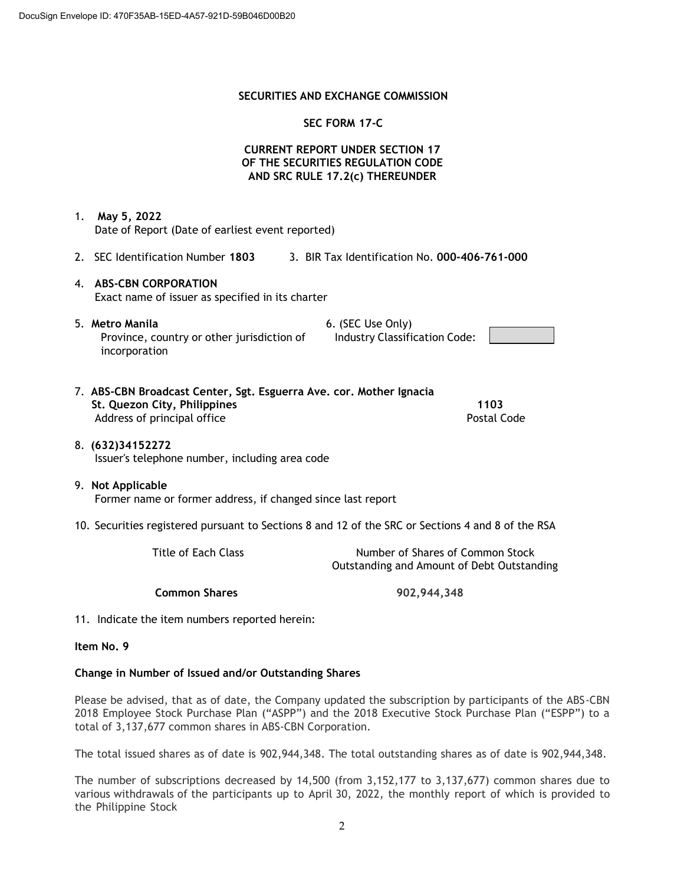### **SECURITIES AND EXCHANGE COMMISSION**

### **SEC FORM 17-C**

# **CURRENT REPORT UNDER SECTION 17 OF THE SECURITIES REGULATION CODE AND SRC RULE 17.2(c) THEREUNDER**

1. **May 5, 2022** Date of Report (Date of earliest event reported)

- 2. SEC Identification Number **1803** 3. BIR Tax Identification No. **000-406-761-000**
- 4. **ABS-CBN CORPORATION** Exact name of issuer as specified in its charter
- 5. **Metro Manila** 6. (SEC Use Only) Province, country or other jurisdiction of incorporation

Industry Classification Code:

| 7. ABS-CBN Broadcast Center, Sgt. Esguerra Ave. cor. Mother Ignacia |             |
|---------------------------------------------------------------------|-------------|
| St. Quezon City, Philippines                                        | 1103        |
| Address of principal office                                         | Postal Code |

8. **(632)34152272** Issuer's telephone number, including area code

### 9. **Not Applicable** Former name or former address, if changed since last report

10. Securities registered pursuant to Sections 8 and 12 of the SRC or Sections 4 and 8 of the RSA

Title of Each Class Title of Each Class Number of Shares of Common Stock Outstanding and Amount of Debt Outstanding

**Common Shares 902,944,348**

11. Indicate the item numbers reported herein:

**Item No. 9**

### **Change in Number of Issued and/or Outstanding Shares**

Please be advised, that as of date, the Company updated the subscription by participants of the ABS-CBN 2018 Employee Stock Purchase Plan ("ASPP") and the 2018 Executive Stock Purchase Plan ("ESPP") to a total of 3,137,677 common shares in ABS-CBN Corporation.

The total issued shares as of date is 902,944,348. The total outstanding shares as of date is 902,944,348.

The number of subscriptions decreased by 14,500 (from 3,152,177 to 3,137,677) common shares due to various withdrawals of the participants up to April 30, 2022, the monthly report of which is provided to the Philippine Stock